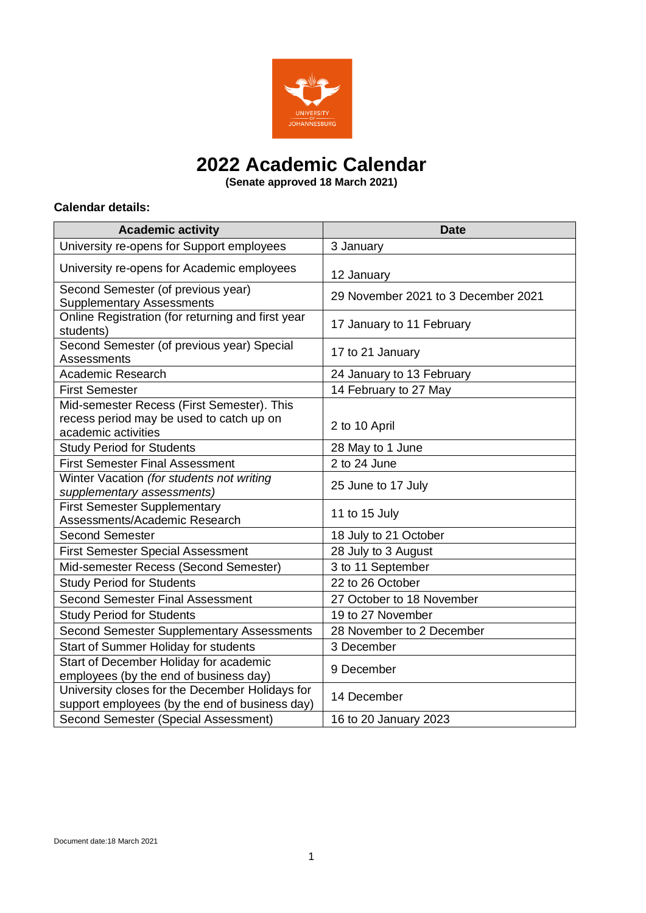

# **2022 Academic Calendar**

**(Senate approved 18 March 2021)**

#### **Calendar details:**

| <b>Academic activity</b>                                                                                      | <b>Date</b>                         |
|---------------------------------------------------------------------------------------------------------------|-------------------------------------|
| University re-opens for Support employees                                                                     | 3 January                           |
| University re-opens for Academic employees                                                                    | 12 January                          |
| Second Semester (of previous year)<br><b>Supplementary Assessments</b>                                        | 29 November 2021 to 3 December 2021 |
| Online Registration (for returning and first year<br>students)                                                | 17 January to 11 February           |
| Second Semester (of previous year) Special<br>Assessments                                                     | 17 to 21 January                    |
| <b>Academic Research</b>                                                                                      | 24 January to 13 February           |
| <b>First Semester</b>                                                                                         | 14 February to 27 May               |
| Mid-semester Recess (First Semester). This<br>recess period may be used to catch up on<br>academic activities | 2 to 10 April                       |
| <b>Study Period for Students</b>                                                                              | 28 May to 1 June                    |
| <b>First Semester Final Assessment</b>                                                                        | 2 to 24 June                        |
| Winter Vacation (for students not writing<br>supplementary assessments)                                       | 25 June to 17 July                  |
| <b>First Semester Supplementary</b><br>Assessments/Academic Research                                          | 11 to 15 July                       |
| <b>Second Semester</b>                                                                                        | 18 July to 21 October               |
| <b>First Semester Special Assessment</b>                                                                      | 28 July to 3 August                 |
| Mid-semester Recess (Second Semester)                                                                         | 3 to 11 September                   |
| <b>Study Period for Students</b>                                                                              | 22 to 26 October                    |
| <b>Second Semester Final Assessment</b>                                                                       | 27 October to 18 November           |
| <b>Study Period for Students</b>                                                                              | 19 to 27 November                   |
| <b>Second Semester Supplementary Assessments</b>                                                              | 28 November to 2 December           |
| Start of Summer Holiday for students                                                                          | 3 December                          |
| Start of December Holiday for academic<br>employees (by the end of business day)                              | 9 December                          |
| University closes for the December Holidays for<br>support employees (by the end of business day)             | 14 December                         |
| Second Semester (Special Assessment)                                                                          | 16 to 20 January 2023               |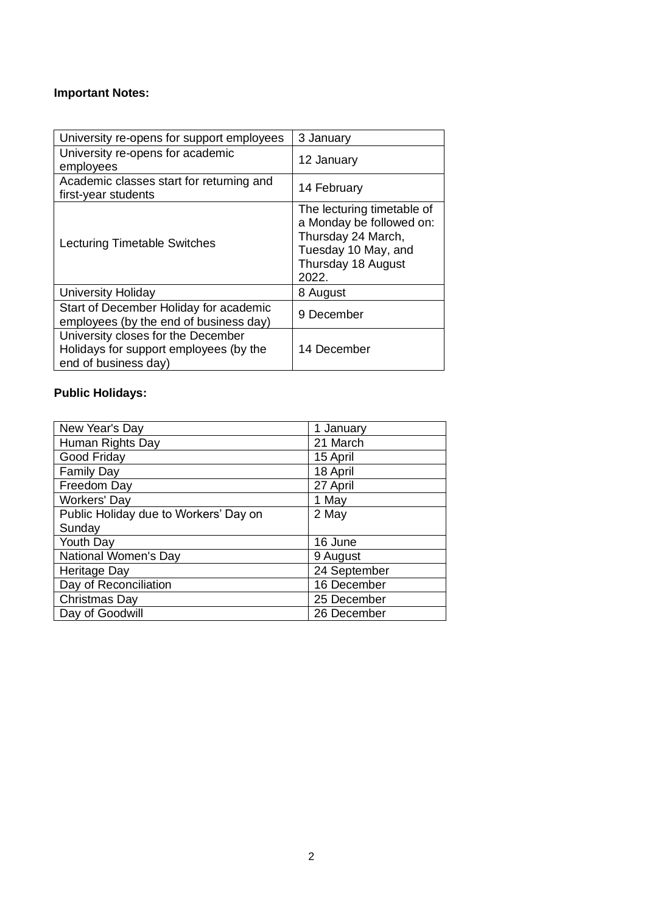### **Important Notes:**

| University re-opens for support employees                                                            | 3 January                                                                                                                          |
|------------------------------------------------------------------------------------------------------|------------------------------------------------------------------------------------------------------------------------------------|
| University re-opens for academic<br>employees                                                        | 12 January                                                                                                                         |
| Academic classes start for returning and<br>first-year students                                      | 14 February                                                                                                                        |
| Lecturing Timetable Switches                                                                         | The lecturing timetable of<br>a Monday be followed on:<br>Thursday 24 March,<br>Tuesday 10 May, and<br>Thursday 18 August<br>2022. |
| <b>University Holiday</b>                                                                            | 8 August                                                                                                                           |
| Start of December Holiday for academic<br>employees (by the end of business day)                     | 9 December                                                                                                                         |
| University closes for the December<br>Holidays for support employees (by the<br>end of business day) | 14 December                                                                                                                        |

## **Public Holidays:**

| New Year's Day                        | 1 January    |
|---------------------------------------|--------------|
| Human Rights Day                      | 21 March     |
| Good Friday                           | 15 April     |
| <b>Family Day</b>                     | 18 April     |
| Freedom Day                           | 27 April     |
| Workers' Day                          | 1 May        |
| Public Holiday due to Workers' Day on | 2 May        |
| Sunday                                |              |
| Youth Day                             | 16 June      |
| National Women's Day                  | 9 August     |
| <b>Heritage Day</b>                   | 24 September |
| Day of Reconciliation                 | 16 December  |
| Christmas Day                         | 25 December  |
| Day of Goodwill                       | 26 December  |